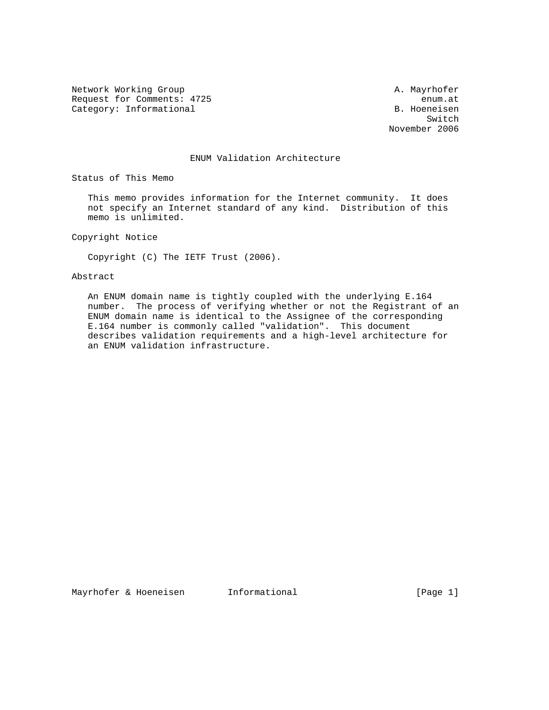Network Working Group and A. Mayrhofer A. Mayrhofer Request for Comments: 4725 enum.at Category: Informational B. Hoeneisen

Switch and the state of the state of the state of the state of the state of the state of the state of the state of the state of the state of the state of the state of the state of the state of the state of the state of the November 2006

#### ENUM Validation Architecture

Status of This Memo

 This memo provides information for the Internet community. It does not specify an Internet standard of any kind. Distribution of this memo is unlimited.

Copyright Notice

Copyright (C) The IETF Trust (2006).

### Abstract

 An ENUM domain name is tightly coupled with the underlying E.164 number. The process of verifying whether or not the Registrant of an ENUM domain name is identical to the Assignee of the corresponding E.164 number is commonly called "validation". This document describes validation requirements and a high-level architecture for an ENUM validation infrastructure.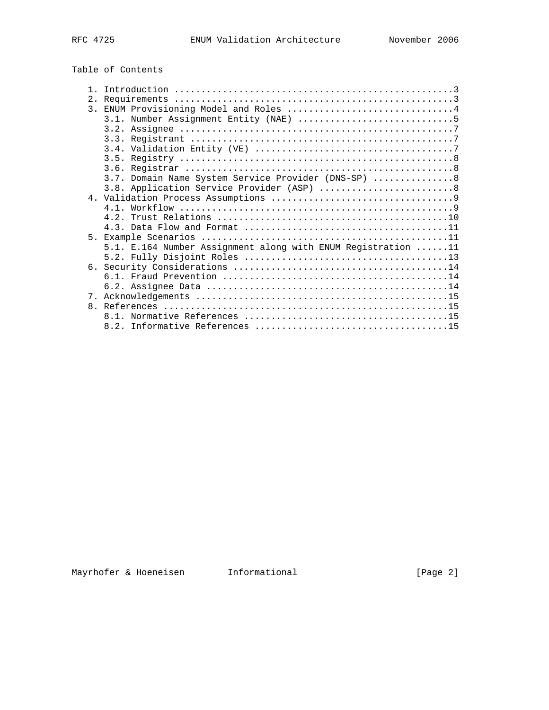# Table of Contents

|                | 3. ENUM Provisioning Model and Roles 4                       |
|----------------|--------------------------------------------------------------|
|                |                                                              |
|                |                                                              |
|                |                                                              |
|                |                                                              |
|                |                                                              |
|                |                                                              |
|                | 3.7. Domain Name System Service Provider (DNS-SP)  8         |
|                | 3.8. Application Service Provider (ASP) 8                    |
|                |                                                              |
|                |                                                              |
|                |                                                              |
|                |                                                              |
| 5 <sub>1</sub> |                                                              |
|                | 5.1. E.164 Number Assignment along with ENUM Registration 11 |
|                |                                                              |
|                |                                                              |
|                |                                                              |
|                |                                                              |
| 7.             |                                                              |
|                |                                                              |
|                |                                                              |
|                |                                                              |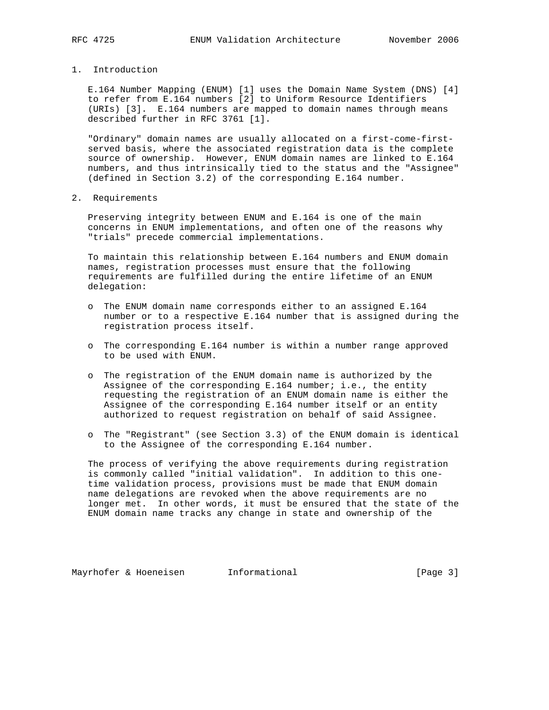1. Introduction

 E.164 Number Mapping (ENUM) [1] uses the Domain Name System (DNS) [4] to refer from E.164 numbers [2] to Uniform Resource Identifiers (URIs) [3]. E.164 numbers are mapped to domain names through means described further in RFC 3761 [1].

 "Ordinary" domain names are usually allocated on a first-come-first served basis, where the associated registration data is the complete source of ownership. However, ENUM domain names are linked to E.164 numbers, and thus intrinsically tied to the status and the "Assignee" (defined in Section 3.2) of the corresponding E.164 number.

2. Requirements

 Preserving integrity between ENUM and E.164 is one of the main concerns in ENUM implementations, and often one of the reasons why "trials" precede commercial implementations.

 To maintain this relationship between E.164 numbers and ENUM domain names, registration processes must ensure that the following requirements are fulfilled during the entire lifetime of an ENUM delegation:

- o The ENUM domain name corresponds either to an assigned E.164 number or to a respective E.164 number that is assigned during the registration process itself.
- o The corresponding E.164 number is within a number range approved to be used with ENUM.
- o The registration of the ENUM domain name is authorized by the Assignee of the corresponding  $E.164$  number; i.e., the entity requesting the registration of an ENUM domain name is either the Assignee of the corresponding E.164 number itself or an entity authorized to request registration on behalf of said Assignee.
- o The "Registrant" (see Section 3.3) of the ENUM domain is identical to the Assignee of the corresponding E.164 number.

 The process of verifying the above requirements during registration is commonly called "initial validation". In addition to this one time validation process, provisions must be made that ENUM domain name delegations are revoked when the above requirements are no longer met. In other words, it must be ensured that the state of the ENUM domain name tracks any change in state and ownership of the

Mayrhofer & Hoeneisen and Informational Theorem and Informational (Page 3)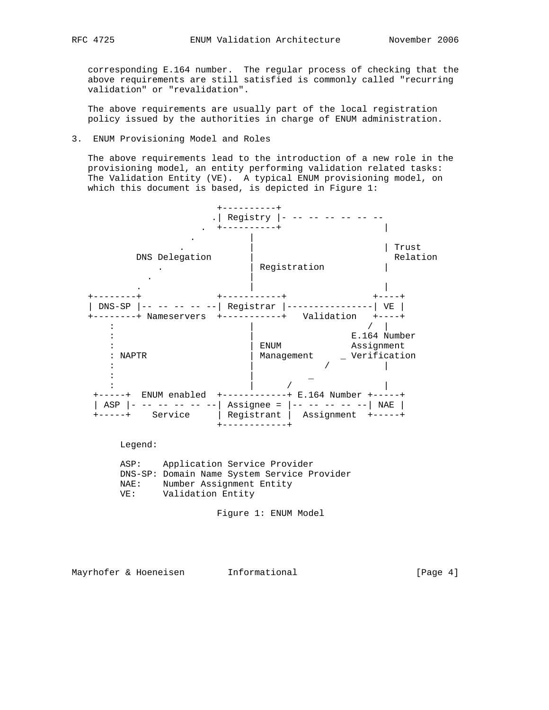corresponding E.164 number. The regular process of checking that the above requirements are still satisfied is commonly called "recurring validation" or "revalidation".

 The above requirements are usually part of the local registration policy issued by the authorities in charge of ENUM administration.

#### 3. ENUM Provisioning Model and Roles

 The above requirements lead to the introduction of a new role in the provisioning model, an entity performing validation related tasks: The Validation Entity (VE). A typical ENUM provisioning model, on which this document is based, is depicted in Figure 1:



Legend:

 ASP: Application Service Provider DNS-SP: Domain Name System Service Provider NAE: Number Assignment Entity VE: Validation Entity

Figure 1: ENUM Model

Mayrhofer & Hoeneisen and Informational and Informational [Page 4]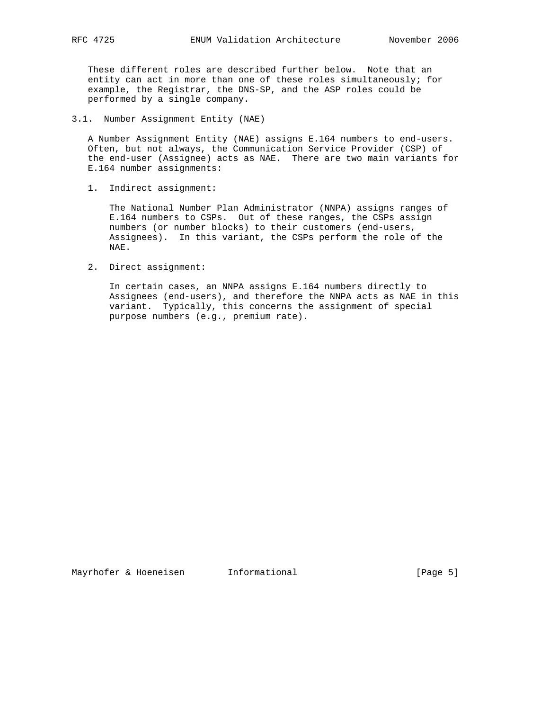These different roles are described further below. Note that an entity can act in more than one of these roles simultaneously; for example, the Registrar, the DNS-SP, and the ASP roles could be performed by a single company.

3.1. Number Assignment Entity (NAE)

 A Number Assignment Entity (NAE) assigns E.164 numbers to end-users. Often, but not always, the Communication Service Provider (CSP) of the end-user (Assignee) acts as NAE. There are two main variants for E.164 number assignments:

1. Indirect assignment:

 The National Number Plan Administrator (NNPA) assigns ranges of E.164 numbers to CSPs. Out of these ranges, the CSPs assign numbers (or number blocks) to their customers (end-users, Assignees). In this variant, the CSPs perform the role of the NAE.

2. Direct assignment:

 In certain cases, an NNPA assigns E.164 numbers directly to Assignees (end-users), and therefore the NNPA acts as NAE in this variant. Typically, this concerns the assignment of special purpose numbers (e.g., premium rate).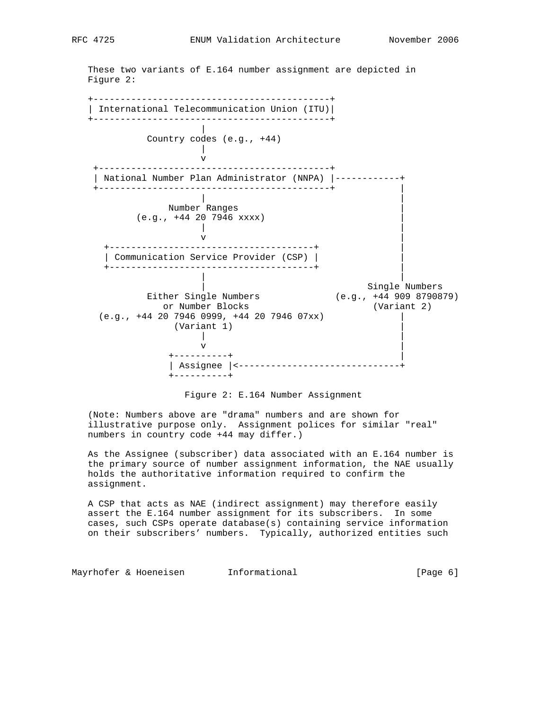These two variants of E.164 number assignment are depicted in Figure 2: +--------------------------------------------+

 | International Telecommunication Union (ITU)| +--------------------------------------------+ | Country codes (e.g., +44) | v +-------------------------------------------+ | National Number Plan Administrator (NNPA) |------------+ +-------------------------------------------+ | | | Number Ranges | (e.g., +44 20 7946 xxxx) | | |  $\mathbf v$  +--------------------------------------+ | | Communication Service Provider (CSP) | | +--------------------------------------+ | | | | Single Numbers Either Single Numbers (e.g., +44 909 8790879) or Number Blocks (Variant 2)  $(e.g., +44 20 7946 0999, +44 20 7946 07xx)$  (Variant 1) | | |  $\mathbf v$  $+ - - - - - - - - - +$  | Assignee |<------------------------------+ +----------+

Figure 2: E.164 Number Assignment

 (Note: Numbers above are "drama" numbers and are shown for illustrative purpose only. Assignment polices for similar "real" numbers in country code +44 may differ.)

 As the Assignee (subscriber) data associated with an E.164 number is the primary source of number assignment information, the NAE usually holds the authoritative information required to confirm the assignment.

 A CSP that acts as NAE (indirect assignment) may therefore easily assert the E.164 number assignment for its subscribers. In some cases, such CSPs operate database(s) containing service information on their subscribers' numbers. Typically, authorized entities such

Mayrhofer & Hoeneisen and Informational (Page 6)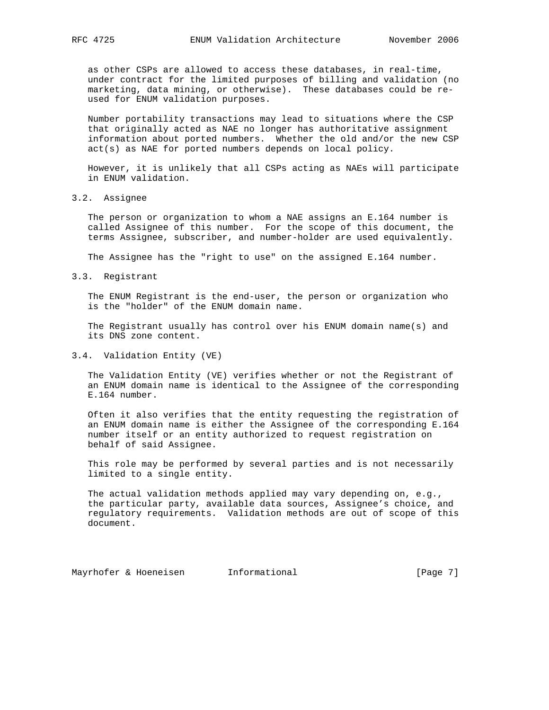as other CSPs are allowed to access these databases, in real-time, under contract for the limited purposes of billing and validation (no marketing, data mining, or otherwise). These databases could be re used for ENUM validation purposes.

 Number portability transactions may lead to situations where the CSP that originally acted as NAE no longer has authoritative assignment information about ported numbers. Whether the old and/or the new CSP act(s) as NAE for ported numbers depends on local policy.

 However, it is unlikely that all CSPs acting as NAEs will participate in ENUM validation.

## 3.2. Assignee

 The person or organization to whom a NAE assigns an E.164 number is called Assignee of this number. For the scope of this document, the terms Assignee, subscriber, and number-holder are used equivalently.

The Assignee has the "right to use" on the assigned E.164 number.

3.3. Registrant

 The ENUM Registrant is the end-user, the person or organization who is the "holder" of the ENUM domain name.

 The Registrant usually has control over his ENUM domain name(s) and its DNS zone content.

3.4. Validation Entity (VE)

 The Validation Entity (VE) verifies whether or not the Registrant of an ENUM domain name is identical to the Assignee of the corresponding E.164 number.

 Often it also verifies that the entity requesting the registration of an ENUM domain name is either the Assignee of the corresponding E.164 number itself or an entity authorized to request registration on behalf of said Assignee.

 This role may be performed by several parties and is not necessarily limited to a single entity.

 The actual validation methods applied may vary depending on, e.g., the particular party, available data sources, Assignee's choice, and regulatory requirements. Validation methods are out of scope of this document.

Mayrhofer & Hoeneisen 1nformational 1992 [Page 7]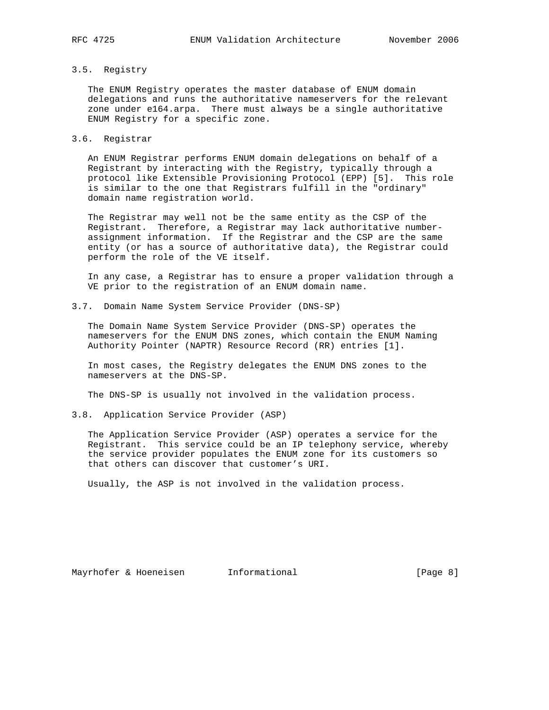#### 3.5. Registry

 The ENUM Registry operates the master database of ENUM domain delegations and runs the authoritative nameservers for the relevant zone under e164.arpa. There must always be a single authoritative ENUM Registry for a specific zone.

#### 3.6. Registrar

 An ENUM Registrar performs ENUM domain delegations on behalf of a Registrant by interacting with the Registry, typically through a protocol like Extensible Provisioning Protocol (EPP) [5]. This role is similar to the one that Registrars fulfill in the "ordinary" domain name registration world.

 The Registrar may well not be the same entity as the CSP of the Registrant. Therefore, a Registrar may lack authoritative number assignment information. If the Registrar and the CSP are the same entity (or has a source of authoritative data), the Registrar could perform the role of the VE itself.

 In any case, a Registrar has to ensure a proper validation through a VE prior to the registration of an ENUM domain name.

3.7. Domain Name System Service Provider (DNS-SP)

 The Domain Name System Service Provider (DNS-SP) operates the nameservers for the ENUM DNS zones, which contain the ENUM Naming Authority Pointer (NAPTR) Resource Record (RR) entries [1].

 In most cases, the Registry delegates the ENUM DNS zones to the nameservers at the DNS-SP.

The DNS-SP is usually not involved in the validation process.

## 3.8. Application Service Provider (ASP)

 The Application Service Provider (ASP) operates a service for the Registrant. This service could be an IP telephony service, whereby the service provider populates the ENUM zone for its customers so that others can discover that customer's URI.

Usually, the ASP is not involved in the validation process.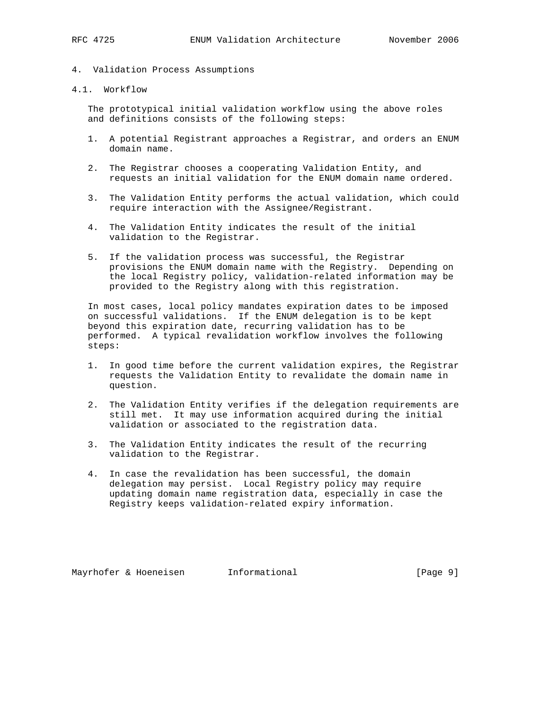- 4. Validation Process Assumptions
- 4.1. Workflow

 The prototypical initial validation workflow using the above roles and definitions consists of the following steps:

- 1. A potential Registrant approaches a Registrar, and orders an ENUM domain name.
- 2. The Registrar chooses a cooperating Validation Entity, and requests an initial validation for the ENUM domain name ordered.
- 3. The Validation Entity performs the actual validation, which could require interaction with the Assignee/Registrant.
- 4. The Validation Entity indicates the result of the initial validation to the Registrar.
- 5. If the validation process was successful, the Registrar provisions the ENUM domain name with the Registry. Depending on the local Registry policy, validation-related information may be provided to the Registry along with this registration.

 In most cases, local policy mandates expiration dates to be imposed on successful validations. If the ENUM delegation is to be kept beyond this expiration date, recurring validation has to be performed. A typical revalidation workflow involves the following steps:

- 1. In good time before the current validation expires, the Registrar requests the Validation Entity to revalidate the domain name in question.
- 2. The Validation Entity verifies if the delegation requirements are still met. It may use information acquired during the initial validation or associated to the registration data.
- 3. The Validation Entity indicates the result of the recurring validation to the Registrar.
- 4. In case the revalidation has been successful, the domain delegation may persist. Local Registry policy may require updating domain name registration data, especially in case the Registry keeps validation-related expiry information.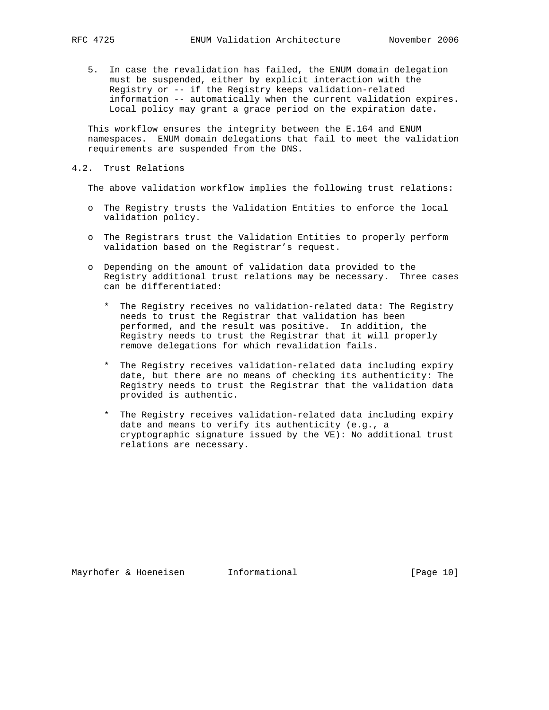5. In case the revalidation has failed, the ENUM domain delegation must be suspended, either by explicit interaction with the Registry or -- if the Registry keeps validation-related information -- automatically when the current validation expires. Local policy may grant a grace period on the expiration date.

 This workflow ensures the integrity between the E.164 and ENUM namespaces. ENUM domain delegations that fail to meet the validation requirements are suspended from the DNS.

4.2. Trust Relations

The above validation workflow implies the following trust relations:

- o The Registry trusts the Validation Entities to enforce the local validation policy.
- o The Registrars trust the Validation Entities to properly perform validation based on the Registrar's request.
- o Depending on the amount of validation data provided to the Registry additional trust relations may be necessary. Three cases can be differentiated:
	- \* The Registry receives no validation-related data: The Registry needs to trust the Registrar that validation has been performed, and the result was positive. In addition, the Registry needs to trust the Registrar that it will properly remove delegations for which revalidation fails.
	- \* The Registry receives validation-related data including expiry date, but there are no means of checking its authenticity: The Registry needs to trust the Registrar that the validation data provided is authentic.
	- \* The Registry receives validation-related data including expiry date and means to verify its authenticity (e.g., a cryptographic signature issued by the VE): No additional trust relations are necessary.

Mayrhofer & Hoeneisen Informational [Page 10]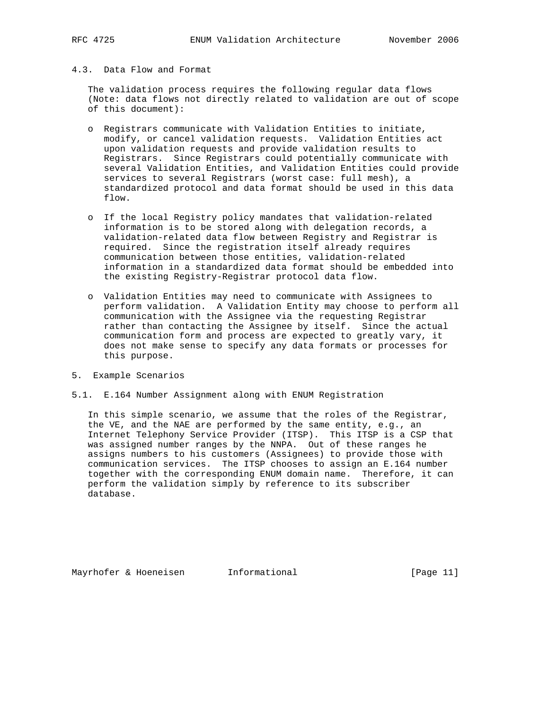# 4.3. Data Flow and Format

 The validation process requires the following regular data flows (Note: data flows not directly related to validation are out of scope of this document):

- o Registrars communicate with Validation Entities to initiate, modify, or cancel validation requests. Validation Entities act upon validation requests and provide validation results to Registrars. Since Registrars could potentially communicate with several Validation Entities, and Validation Entities could provide services to several Registrars (worst case: full mesh), a standardized protocol and data format should be used in this data flow.
- o If the local Registry policy mandates that validation-related information is to be stored along with delegation records, a validation-related data flow between Registry and Registrar is required. Since the registration itself already requires communication between those entities, validation-related information in a standardized data format should be embedded into the existing Registry-Registrar protocol data flow.
- o Validation Entities may need to communicate with Assignees to perform validation. A Validation Entity may choose to perform all communication with the Assignee via the requesting Registrar rather than contacting the Assignee by itself. Since the actual communication form and process are expected to greatly vary, it does not make sense to specify any data formats or processes for this purpose.
- 5. Example Scenarios
- 5.1. E.164 Number Assignment along with ENUM Registration

 In this simple scenario, we assume that the roles of the Registrar, the VE, and the NAE are performed by the same entity, e.g., an Internet Telephony Service Provider (ITSP). This ITSP is a CSP that was assigned number ranges by the NNPA. Out of these ranges he assigns numbers to his customers (Assignees) to provide those with communication services. The ITSP chooses to assign an E.164 number together with the corresponding ENUM domain name. Therefore, it can perform the validation simply by reference to its subscriber database.

Mayrhofer & Hoeneisen and Informational Theorem is the set of  $[Page 11]$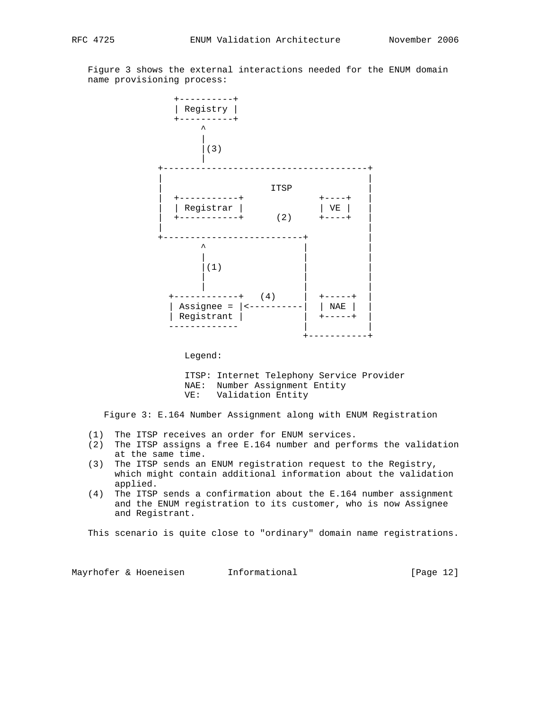Figure 3 shows the external interactions needed for the ENUM domain name provisioning process:



Legend:

 ITSP: Internet Telephony Service Provider NAE: Number Assignment Entity VE: Validation Entity

Figure 3: E.164 Number Assignment along with ENUM Registration

- (1) The ITSP receives an order for ENUM services.
- (2) The ITSP assigns a free E.164 number and performs the validation at the same time.
- (3) The ITSP sends an ENUM registration request to the Registry, which might contain additional information about the validation applied.
- (4) The ITSP sends a confirmation about the E.164 number assignment and the ENUM registration to its customer, who is now Assignee and Registrant.

This scenario is quite close to "ordinary" domain name registrations.

Mayrhofer & Hoeneisen 1nformational 1999 [Page 12]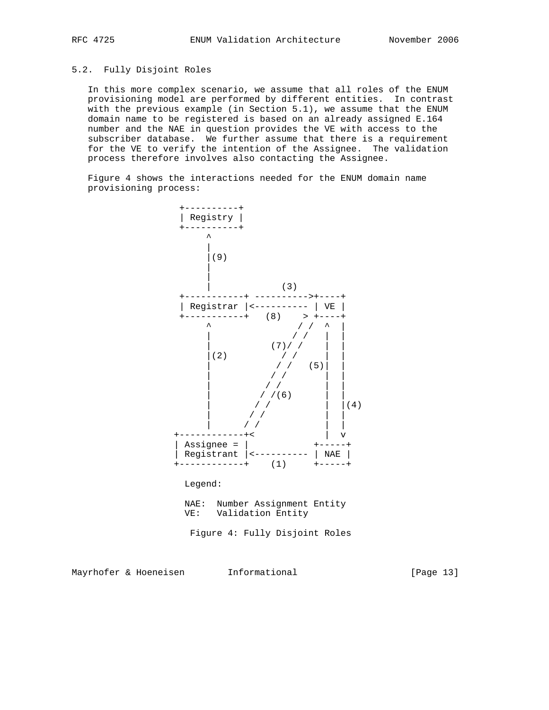# 5.2. Fully Disjoint Roles

 In this more complex scenario, we assume that all roles of the ENUM provisioning model are performed by different entities. In contrast with the previous example (in Section 5.1), we assume that the ENUM domain name to be registered is based on an already assigned E.164 number and the NAE in question provides the VE with access to the subscriber database. We further assume that there is a requirement for the VE to verify the intention of the Assignee. The validation process therefore involves also contacting the Assignee.

 Figure 4 shows the interactions needed for the ENUM domain name provisioning process:



Figure 4: Fully Disjoint Roles

Mayrhofer & Hoeneisen and Informational [Page 13]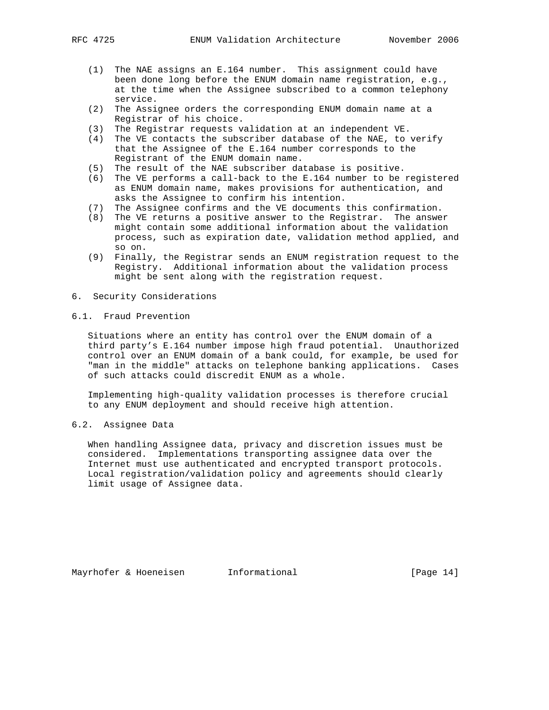- (1) The NAE assigns an E.164 number. This assignment could have been done long before the ENUM domain name registration, e.g., at the time when the Assignee subscribed to a common telephony service.
- (2) The Assignee orders the corresponding ENUM domain name at a Registrar of his choice.
- (3) The Registrar requests validation at an independent VE.
- (4) The VE contacts the subscriber database of the NAE, to verify that the Assignee of the E.164 number corresponds to the Registrant of the ENUM domain name.
- (5) The result of the NAE subscriber database is positive.
- (6) The VE performs a call-back to the E.164 number to be registered as ENUM domain name, makes provisions for authentication, and asks the Assignee to confirm his intention.
- (7) The Assignee confirms and the VE documents this confirmation.
- (8) The VE returns a positive answer to the Registrar. The answer might contain some additional information about the validation process, such as expiration date, validation method applied, and so on.
- (9) Finally, the Registrar sends an ENUM registration request to the Registry. Additional information about the validation process might be sent along with the registration request.
- 6. Security Considerations
- 6.1. Fraud Prevention

 Situations where an entity has control over the ENUM domain of a third party's E.164 number impose high fraud potential. Unauthorized control over an ENUM domain of a bank could, for example, be used for "man in the middle" attacks on telephone banking applications. Cases of such attacks could discredit ENUM as a whole.

 Implementing high-quality validation processes is therefore crucial to any ENUM deployment and should receive high attention.

6.2. Assignee Data

 When handling Assignee data, privacy and discretion issues must be considered. Implementations transporting assignee data over the Internet must use authenticated and encrypted transport protocols. Local registration/validation policy and agreements should clearly limit usage of Assignee data.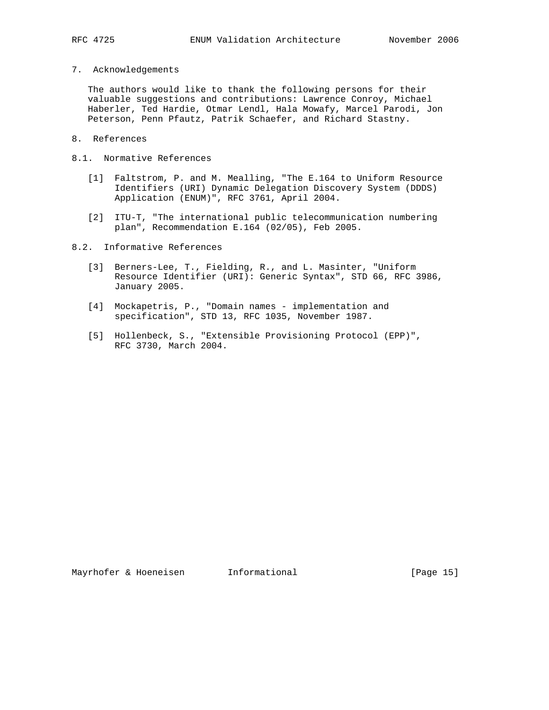- 
- 7. Acknowledgements

 The authors would like to thank the following persons for their valuable suggestions and contributions: Lawrence Conroy, Michael Haberler, Ted Hardie, Otmar Lendl, Hala Mowafy, Marcel Parodi, Jon Peterson, Penn Pfautz, Patrik Schaefer, and Richard Stastny.

- 8. References
- 8.1. Normative References
	- [1] Faltstrom, P. and M. Mealling, "The E.164 to Uniform Resource Identifiers (URI) Dynamic Delegation Discovery System (DDDS) Application (ENUM)", RFC 3761, April 2004.
	- [2] ITU-T, "The international public telecommunication numbering plan", Recommendation E.164 (02/05), Feb 2005.
- 8.2. Informative References
	- [3] Berners-Lee, T., Fielding, R., and L. Masinter, "Uniform Resource Identifier (URI): Generic Syntax", STD 66, RFC 3986, January 2005.
	- [4] Mockapetris, P., "Domain names implementation and specification", STD 13, RFC 1035, November 1987.
	- [5] Hollenbeck, S., "Extensible Provisioning Protocol (EPP)", RFC 3730, March 2004.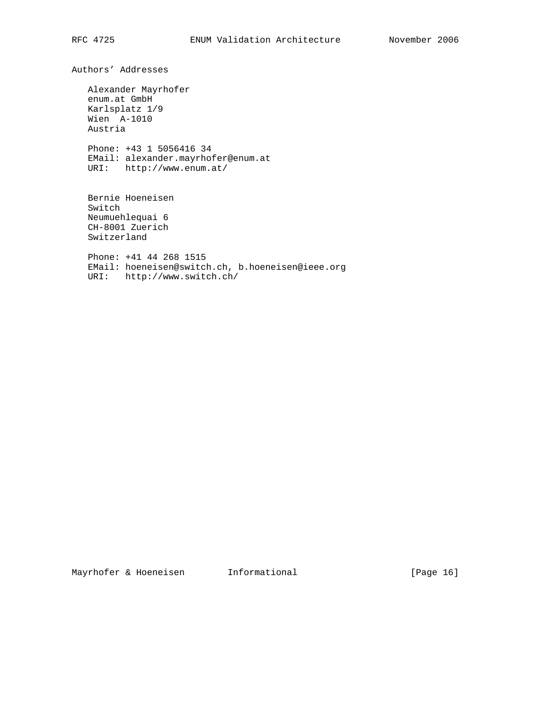Authors' Addresses

 Alexander Mayrhofer enum.at GmbH Karlsplatz 1/9 Wien A-1010 Austria Phone: +43 1 5056416 34 EMail: alexander.mayrhofer@enum.at URI: http://www.enum.at/

 Bernie Hoeneisen Switch Neumuehlequai 6 CH-8001 Zuerich Switzerland

 Phone: +41 44 268 1515 EMail: hoeneisen@switch.ch, b.hoeneisen@ieee.org URI: http://www.switch.ch/